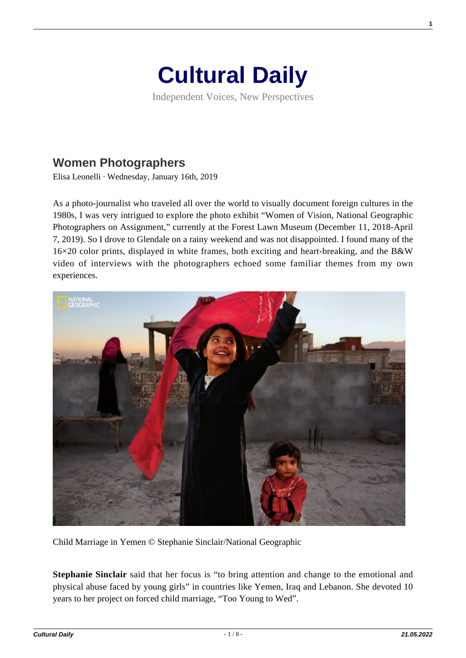

Independent Voices, New Perspectives

## **[Women Photographers](https://culturaldaily.com/women-photographers/)**

Elisa Leonelli · Wednesday, January 16th, 2019

As a photo-journalist who traveled all over the world to visually document foreign cultures in the 1980s, I was very intrigued to explore the photo exhibit "Women of Vision, National Geographic Photographers on Assignment," currently at the Forest Lawn Museum (December 11, 2018-April 7, 2019). So I drove to Glendale on a rainy weekend and was not disappointed. I found many of the 16×20 color prints, displayed in white frames, both exciting and heart-breaking, and the B&W video of interviews with the photographers echoed some familiar themes from my own experiences.



Child Marriage in Yemen © Stephanie Sinclair/National Geographic

**Stephanie Sinclair** said that her focus is "to bring attention and change to the emotional and physical abuse faced by young girls" in countries like Yemen, Iraq and Lebanon. She devoted 10 years to her project on forced child marriage, "Too Young to Wed".

**1**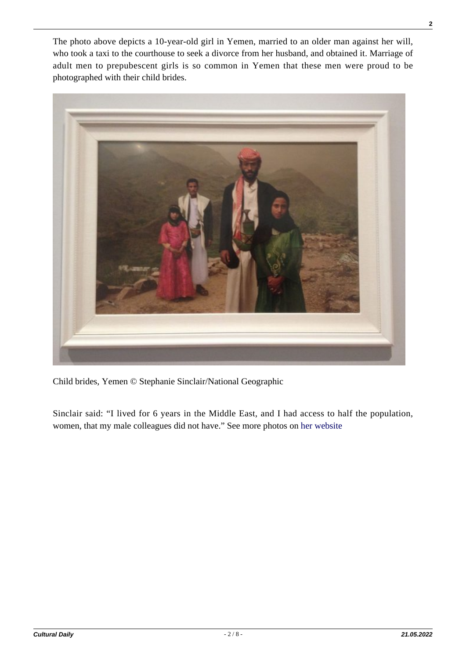The photo above depicts a 10-year-old girl in Yemen, married to an older man against her will, who took a taxi to the courthouse to seek a divorce from her husband, and obtained it. Marriage of adult men to prepubescent girls is so common in Yemen that these men were proud to be photographed with their child brides.



Child brides, Yemen © Stephanie Sinclair/National Geographic

Sinclair said: "I lived for 6 years in the Middle East, and I had access to half the population, women, that my male colleagues did not have." See more photos on [her website](https://stephaniesinclair.com/too-young-to-wed/)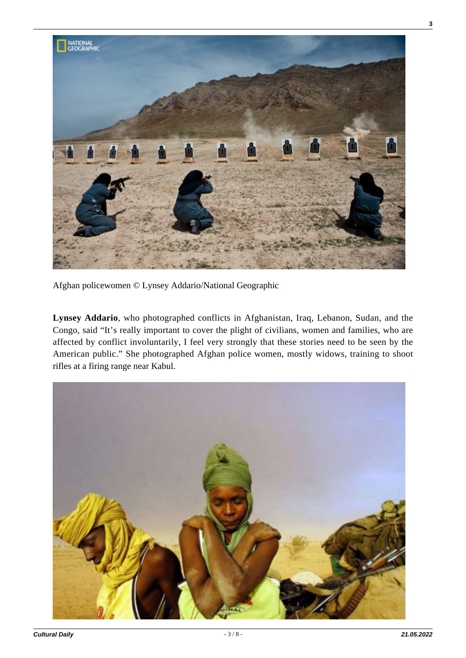

Afghan policewomen © Lynsey Addario/National Geographic

**Lynsey Addario**, who photographed conflicts in Afghanistan, Iraq, Lebanon, Sudan, and the Congo, said "It's really important to cover the plight of civilians, women and families, who are affected by conflict involuntarily, I feel very strongly that these stories need to be seen by the American public." She photographed Afghan police women, mostly widows, training to shoot rifles at a firing range near Kabul.

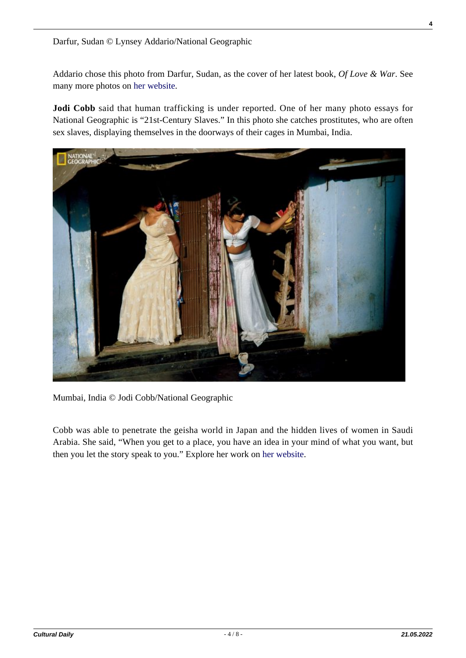Darfur, Sudan © Lynsey Addario/National Geographic

Addario chose this photo from Darfur, Sudan, as the cover of her latest book, *Of Love & War*. See many more photos on [her website.](http://www.lynseyaddario.com/)

**Jodi Cobb** said that human trafficking is under reported. One of her many photo essays for National Geographic is "21st-Century Slaves." In this photo she catches prostitutes, who are often sex slaves, displaying themselves in the doorways of their cages in Mumbai, India.



Mumbai, India © Jodi Cobb/National Geographic

Cobb was able to penetrate the geisha world in Japan and the hidden lives of women in Saudi Arabia. She said, "When you get to a place, you have an idea in your mind of what you want, but then you let the story speak to you." Explore her work on [her website](https://www.jodicobb.com/index).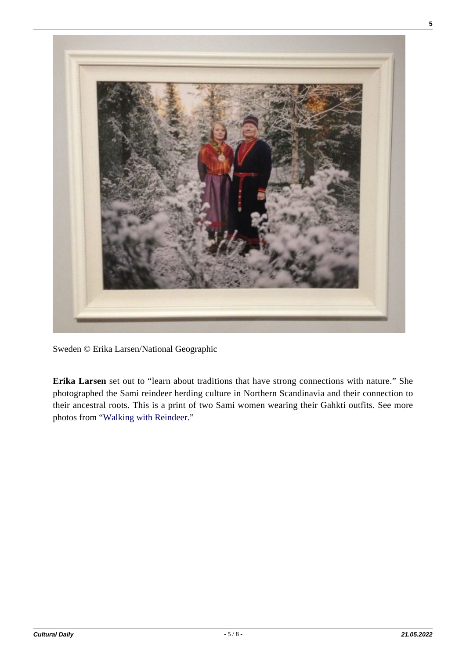

Sweden © Erika Larsen/National Geographic

**Erika Larsen** set out to "learn about traditions that have strong connections with nature." She photographed the Sami reindeer herding culture in Northern Scandinavia and their connection to their ancestral roots. This is a print of two Sami women wearing their Gahkti outfits. See more photos from "[Walking with Reindeer](http://www.erikalarsenphoto.com/works/sami-walking-with-reindeer/)."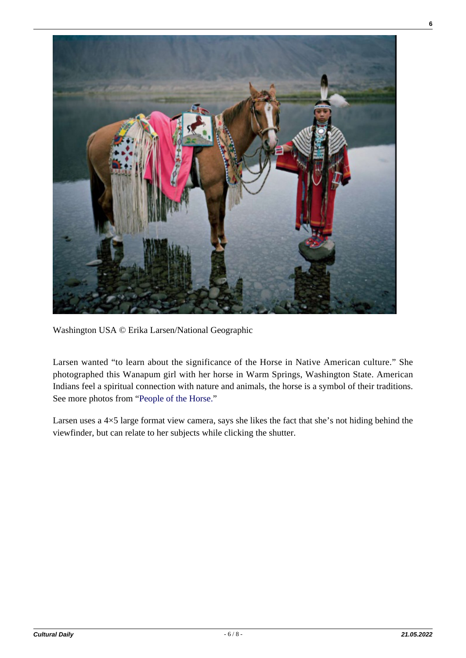

Washington USA © Erika Larsen/National Geographic

Larsen wanted "to learn about the significance of the Horse in Native American culture." She photographed this Wanapum girl with her horse in Warm Springs, Washington State. American Indians feel a spiritual connection with nature and animals, the horse is a symbol of their traditions. See more photos from "[People of the Horse.](http://www.erikalarsenphoto.com/works/people-of-the-horse/)"

Larsen uses a 4×5 large format view camera, says she likes the fact that she's not hiding behind the viewfinder, but can relate to her subjects while clicking the shutter.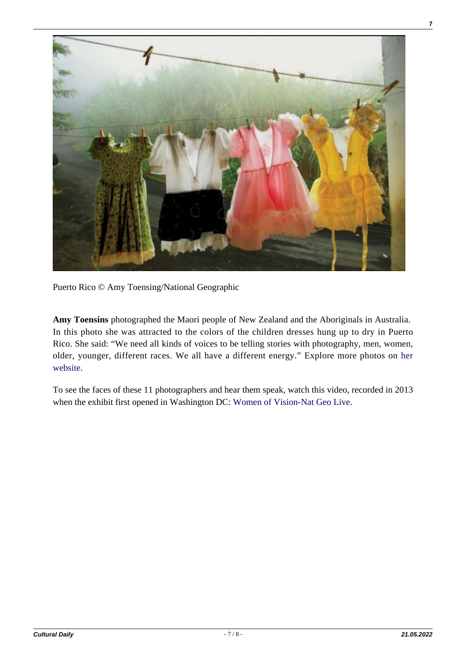

Puerto Rico © Amy Toensing/National Geographic

**Amy Toensins** photographed the Maori people of New Zealand and the Aboriginals in Australia. In this photo she was attracted to the colors of the children dresses hung up to dry in Puerto Rico. She said: "We need all kinds of voices to be telling stories with photography, men, women, older, younger, different races. We all have a different energy." Explore more photos on [her](http://www.amytoensing.com/) [website.](http://www.amytoensing.com/)

To see the faces of these 11 photographers and hear them speak, watch this video, recorded in 2013 when the exhibit first opened in Washington DC: [Women of Vision-Nat Geo Live](https://www.youtube.com/watch?v=hkqBth5-GYA).